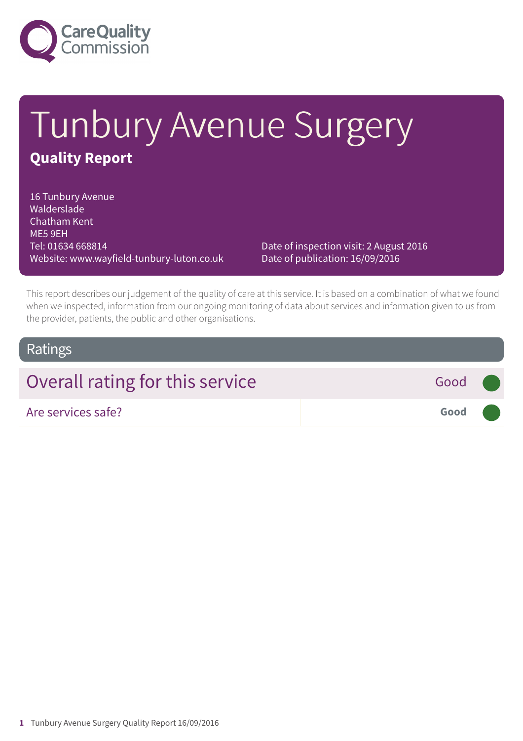

# Tunbury Avenue Surgery **Quality Report**

16 Tunbury Avenue Walderslade Chatham Kent ME5 9EH Tel: 01634 668814 Website: www.wayfield-tunbury-luton.co.uk

Date of inspection visit: 2 August 2016 Date of publication: 16/09/2016

This report describes our judgement of the quality of care at this service. It is based on a combination of what we found when we inspected, information from our ongoing monitoring of data about services and information given to us from the provider, patients, the public and other organisations.

### **Ratings**

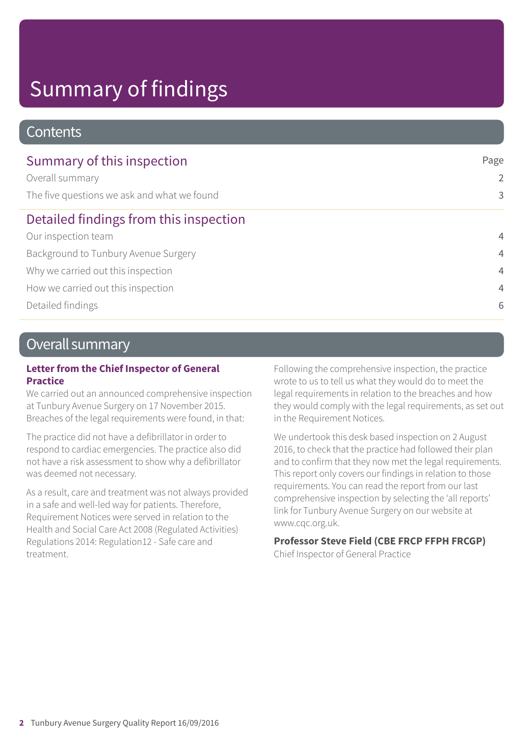# Summary of findings

#### **Contents**

| Summary of this inspection                  | Page<br>2<br>3 |
|---------------------------------------------|----------------|
| Overall summary                             |                |
| The five questions we ask and what we found |                |
| Detailed findings from this inspection      |                |
| Our inspection team                         | $\overline{4}$ |
| Background to Tunbury Avenue Surgery        | $\overline{4}$ |
| Why we carried out this inspection          | $\overline{4}$ |
| How we carried out this inspection          | $\overline{4}$ |
| Detailed findings                           | 6              |

### Overall summary

#### **Letter from the Chief Inspector of General Practice**

We carried out an announced comprehensive inspection at Tunbury Avenue Surgery on 17 November 2015. Breaches of the legal requirements were found, in that:

The practice did not have a defibrillator in order to respond to cardiac emergencies. The practice also did not have a risk assessment to show why a defibrillator was deemed not necessary.

As a result, care and treatment was not always provided in a safe and well-led way for patients. Therefore, Requirement Notices were served in relation to the Health and Social Care Act 2008 (Regulated Activities) Regulations 2014: Regulation12 - Safe care and treatment.

Following the comprehensive inspection, the practice wrote to us to tell us what they would do to meet the legal requirements in relation to the breaches and how they would comply with the legal requirements, as set out in the Requirement Notices.

We undertook this desk based inspection on 2 August 2016, to check that the practice had followed their plan and to confirm that they now met the legal requirements. This report only covers our findings in relation to those requirements. You can read the report from our last comprehensive inspection by selecting the 'all reports' link for Tunbury Avenue Surgery on our website at www.cqc.org.uk.

#### **Professor Steve Field (CBE FRCP FFPH FRCGP)**

Chief Inspector of General Practice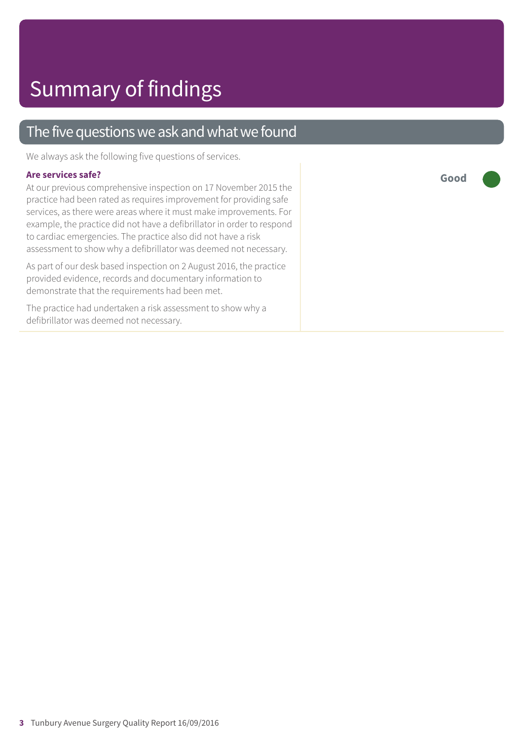#### The five questions we ask and what we found

We always ask the following five questions of services.

#### **Are services safe?**

At our previous comprehensive inspection on 17 November 2015 the practice had been rated as requires improvement for providing safe services, as there were areas where it must make improvements. For example, the practice did not have a defibrillator in order to respond to cardiac emergencies. The practice also did not have a risk assessment to show why a defibrillator was deemed not necessary.

As part of our desk based inspection on 2 August 2016, the practice provided evidence, records and documentary information to demonstrate that the requirements had been met.

The practice had undertaken a risk assessment to show why a defibrillator was deemed not necessary.

**Good –––**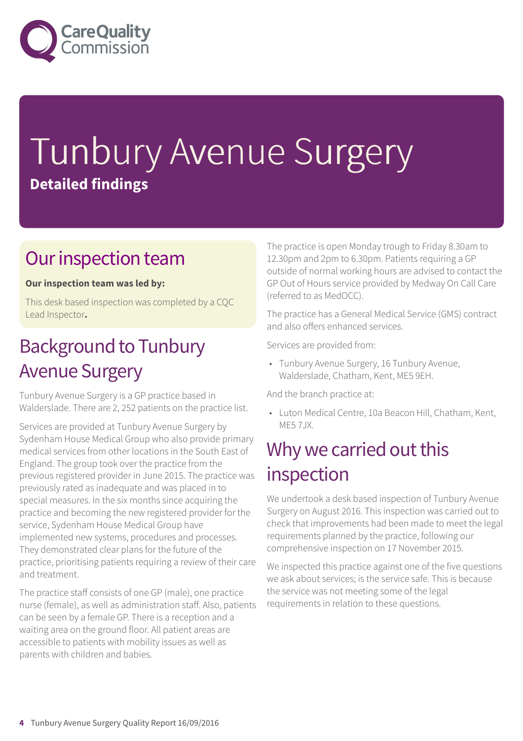

# Tunbury Avenue Surgery **Detailed findings**

### Our inspection team

#### **Our inspection team was led by:**

This desk based inspection was completed by a CQC Lead Inspector**.**

## **Background to Tunbury** Avenue Surgery

Tunbury Avenue Surgery is a GP practice based in Walderslade. There are 2, 252 patients on the practice list.

Services are provided at Tunbury Avenue Surgery by Sydenham House Medical Group who also provide primary medical services from other locations in the South East of England. The group took over the practice from the previous registered provider in June 2015. The practice was previously rated as inadequate and was placed in to special measures. In the six months since acquiring the practice and becoming the new registered provider for the service, Sydenham House Medical Group have implemented new systems, procedures and processes. They demonstrated clear plans for the future of the practice, prioritising patients requiring a review of their care and treatment.

The practice staff consists of one GP (male), one practice nurse (female), as well as administration staff. Also, patients can be seen by a female GP. There is a reception and a waiting area on the ground floor. All patient areas are accessible to patients with mobility issues as well as parents with children and babies.

The practice is open Monday trough to Friday 8.30am to 12.30pm and 2pm to 6.30pm. Patients requiring a GP outside of normal working hours are advised to contact the GP Out of Hours service provided by Medway On Call Care (referred to as MedOCC).

The practice has a General Medical Service (GMS) contract and also offers enhanced services.

Services are provided from:

• Tunbury Avenue Surgery, 16 Tunbury Avenue, Walderslade, Chatham, Kent, ME5 9EH.

And the branch practice at:

• Luton Medical Centre, 10a Beacon Hill, Chatham, Kent, ME5 7JX.

### Why we carried out this inspection

We undertook a desk based inspection of Tunbury Avenue Surgery on August 2016. This inspection was carried out to check that improvements had been made to meet the legal requirements planned by the practice, following our comprehensive inspection on 17 November 2015.

We inspected this practice against one of the five questions we ask about services; is the service safe. This is because the service was not meeting some of the legal requirements in relation to these questions.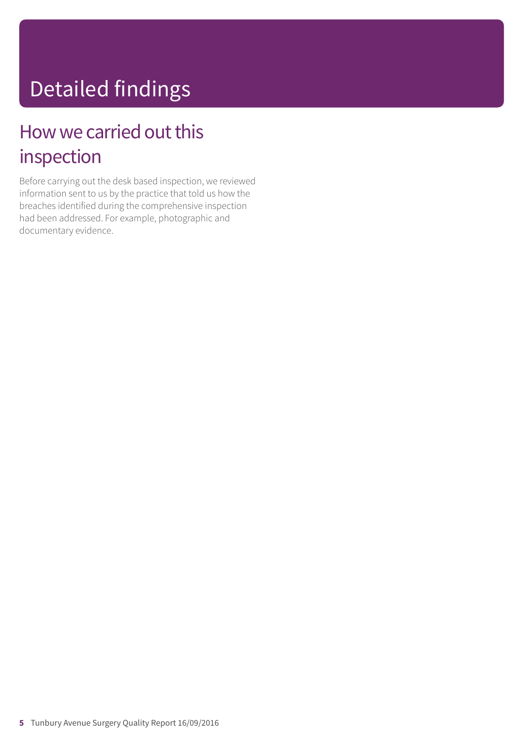# Detailed findings

## How we carried out this inspection

Before carrying out the desk based inspection, we reviewed information sent to us by the practice that told us how the breaches identified during the comprehensive inspection had been addressed. For example, photographic and documentary evidence.